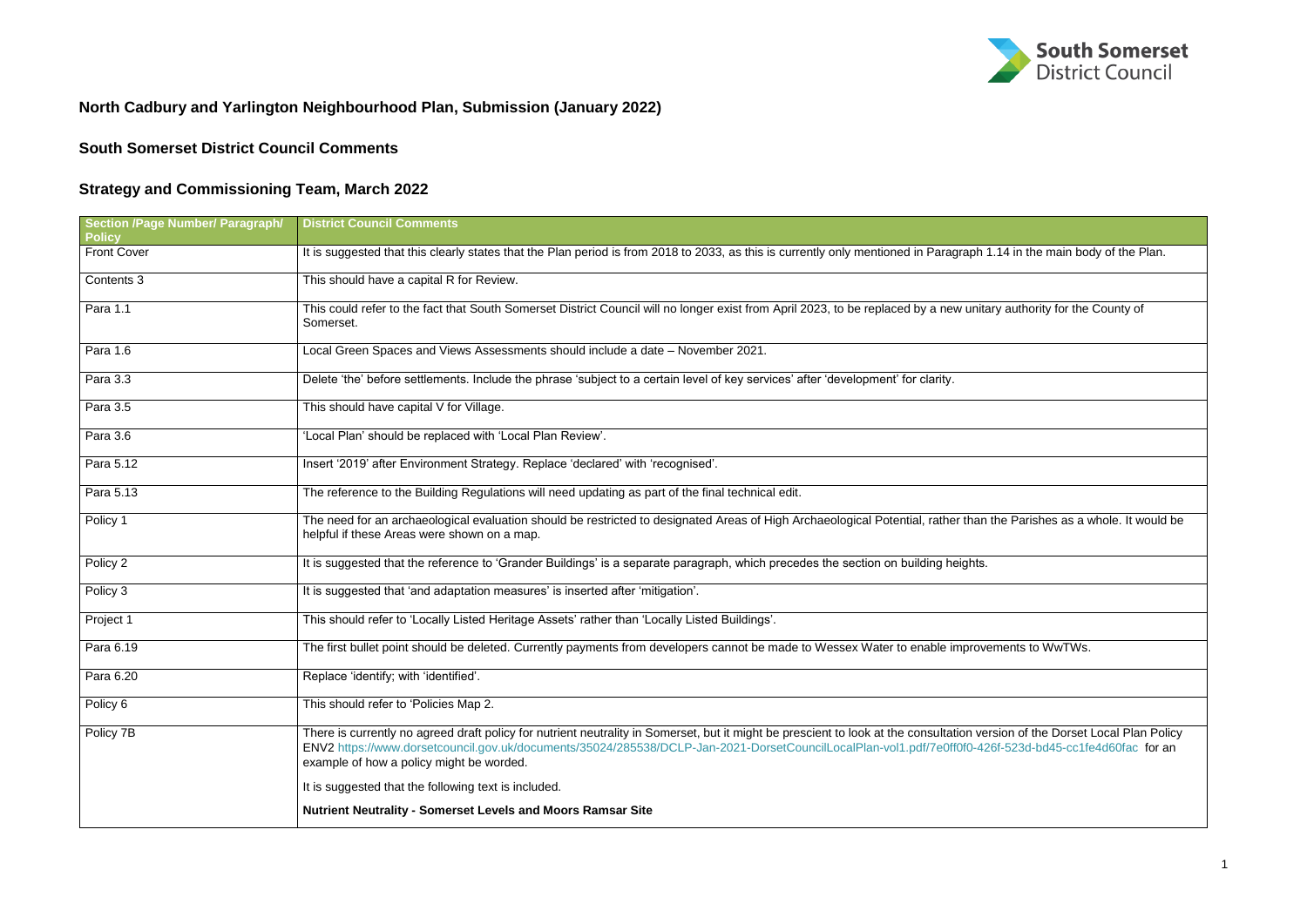## **North Cadbury and Yarlington Neighbourhood Plan, Submission (January 2022)**

## **South Somerset District Council Comments**

## **Strategy and Commissioning Team, March 2022**

| <b>Section /Page Number/ Paragraph/</b><br><b>Policy</b> | <b>District Council Comments</b>                                                                                                                                                                                                                                                                                                                                                   |  |  |  |
|----------------------------------------------------------|------------------------------------------------------------------------------------------------------------------------------------------------------------------------------------------------------------------------------------------------------------------------------------------------------------------------------------------------------------------------------------|--|--|--|
| <b>Front Cover</b>                                       | It is suggested that this clearly states that the Plan period is from 2018 to 2033, as this is currently only mentioned in Paragraph 1.14 in the main body of the Plan.                                                                                                                                                                                                            |  |  |  |
| Contents 3                                               | This should have a capital R for Review.                                                                                                                                                                                                                                                                                                                                           |  |  |  |
| Para 1.1                                                 | This could refer to the fact that South Somerset District Council will no longer exist from April 2023, to be replaced by a new unitary authority for the County of<br>Somerset.                                                                                                                                                                                                   |  |  |  |
| Para 1.6                                                 | Local Green Spaces and Views Assessments should include a date - November 2021.                                                                                                                                                                                                                                                                                                    |  |  |  |
| Para 3.3                                                 | Delete 'the' before settlements. Include the phrase 'subject to a certain level of key services' after 'development' for clarity.                                                                                                                                                                                                                                                  |  |  |  |
| Para 3.5                                                 | This should have capital V for Village.                                                                                                                                                                                                                                                                                                                                            |  |  |  |
| Para 3.6                                                 | 'Local Plan' should be replaced with 'Local Plan Review'.                                                                                                                                                                                                                                                                                                                          |  |  |  |
| Para 5.12                                                | Insert '2019' after Environment Strategy. Replace 'declared' with 'recognised'.                                                                                                                                                                                                                                                                                                    |  |  |  |
| Para 5.13                                                | The reference to the Building Regulations will need updating as part of the final technical edit.                                                                                                                                                                                                                                                                                  |  |  |  |
| Policy 1                                                 | The need for an archaeological evaluation should be restricted to designated Areas of High Archaeological Potential, rather than the Parishes as a whole. It would be<br>helpful if these Areas were shown on a map.                                                                                                                                                               |  |  |  |
| Policy 2                                                 | It is suggested that the reference to 'Grander Buildings' is a separate paragraph, which precedes the section on building heights.                                                                                                                                                                                                                                                 |  |  |  |
| Policy 3                                                 | It is suggested that 'and adaptation measures' is inserted after 'mitigation'.                                                                                                                                                                                                                                                                                                     |  |  |  |
| Project 1                                                | This should refer to 'Locally Listed Heritage Assets' rather than 'Locally Listed Buildings'.                                                                                                                                                                                                                                                                                      |  |  |  |
| Para 6.19                                                | The first bullet point should be deleted. Currently payments from developers cannot be made to Wessex Water to enable improvements to WwTWs.                                                                                                                                                                                                                                       |  |  |  |
| Para 6.20                                                | Replace 'identify; with 'identified'.                                                                                                                                                                                                                                                                                                                                              |  |  |  |
| Policy 6                                                 | This should refer to 'Policies Map 2.                                                                                                                                                                                                                                                                                                                                              |  |  |  |
| Policy 7B                                                | There is currently no agreed draft policy for nutrient neutrality in Somerset, but it might be prescient to look at the consultation version of the Dorset Local Plan Policy<br>ENV2 https://www.dorsetcouncil.gov.uk/documents/35024/285538/DCLP-Jan-2021-DorsetCouncilLocalPlan-vol1.pdf/7e0ff0f0-426f-523d-bd45-cc1fe4d60fac for an<br>example of how a policy might be worded. |  |  |  |
|                                                          | It is suggested that the following text is included.                                                                                                                                                                                                                                                                                                                               |  |  |  |
|                                                          | Nutrient Neutrality - Somerset Levels and Moors Ramsar Site                                                                                                                                                                                                                                                                                                                        |  |  |  |

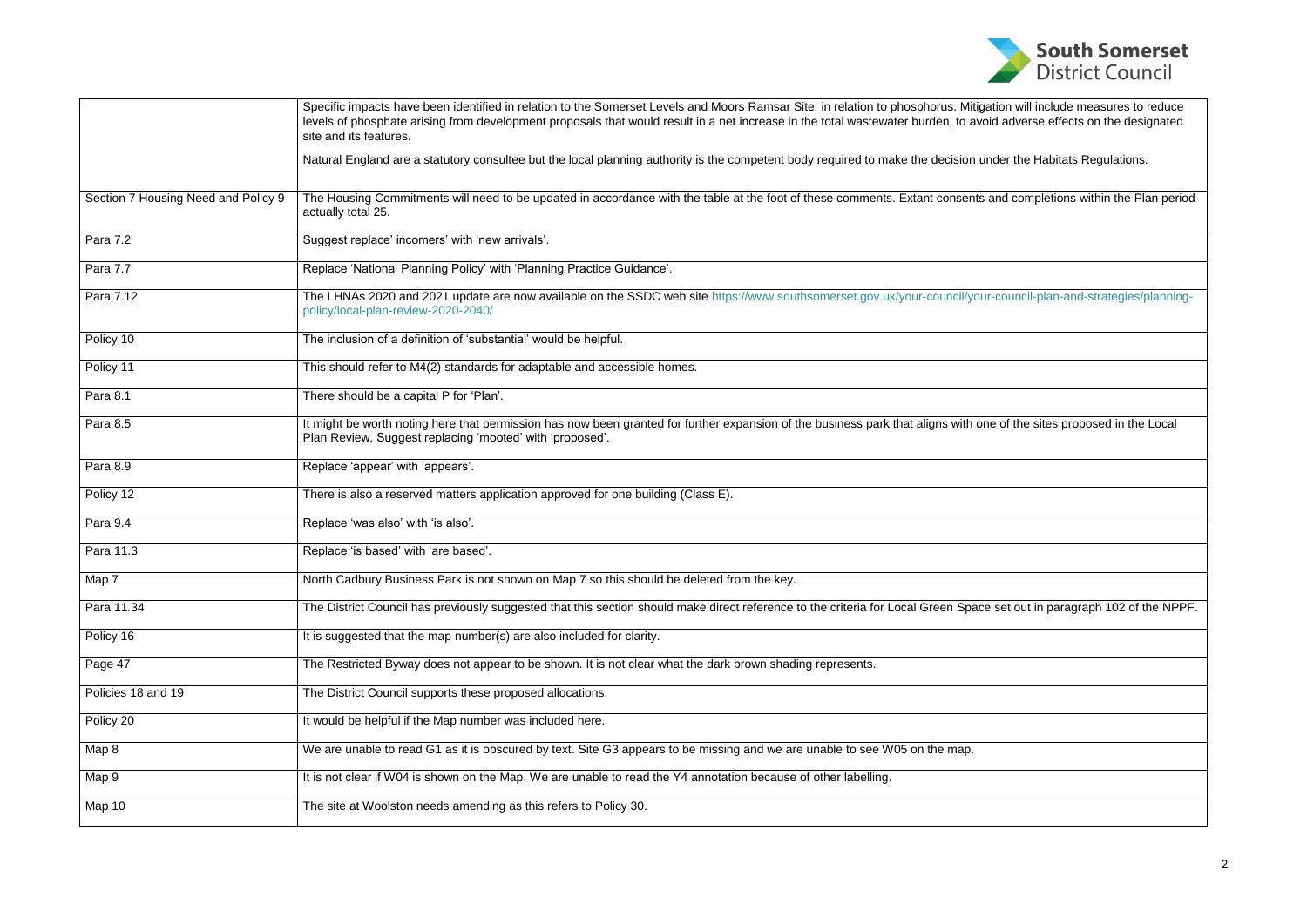|                                     | Specific impacts have been identified in relation to the Somerset Levels and Moors Ramsar Site, in relation to phosphorus. Mitigation will include measures to reduce<br>levels of phosphate arising from development proposals that would result in a net increase in the total wastewater burden, to avoid adverse effects on the designated<br>site and its features. |  |  |  |  |
|-------------------------------------|--------------------------------------------------------------------------------------------------------------------------------------------------------------------------------------------------------------------------------------------------------------------------------------------------------------------------------------------------------------------------|--|--|--|--|
|                                     | Natural England are a statutory consultee but the local planning authority is the competent body required to make the decision under the Habitats Regulations.                                                                                                                                                                                                           |  |  |  |  |
| Section 7 Housing Need and Policy 9 | The Housing Commitments will need to be updated in accordance with the table at the foot of these comments. Extant consents and completions within the Plan period<br>actually total 25.                                                                                                                                                                                 |  |  |  |  |
| Para 7.2                            | Suggest replace' incomers' with 'new arrivals'.                                                                                                                                                                                                                                                                                                                          |  |  |  |  |
| Para 7.7                            | Replace 'National Planning Policy' with 'Planning Practice Guidance'.                                                                                                                                                                                                                                                                                                    |  |  |  |  |
| Para 7.12                           | The LHNAs 2020 and 2021 update are now available on the SSDC web site https://www.southsomerset.gov.uk/your-council/your-council-plan-and-strategies/planning-<br>policy/local-plan-review-2020-2040/                                                                                                                                                                    |  |  |  |  |
| Policy 10                           | The inclusion of a definition of 'substantial' would be helpful.                                                                                                                                                                                                                                                                                                         |  |  |  |  |
| Policy 11                           | This should refer to M4(2) standards for adaptable and accessible homes.                                                                                                                                                                                                                                                                                                 |  |  |  |  |
| Para 8.1                            | There should be a capital P for 'Plan'.                                                                                                                                                                                                                                                                                                                                  |  |  |  |  |
| Para 8.5                            | It might be worth noting here that permission has now been granted for further expansion of the business park that aligns with one of the sites proposed in the Local<br>Plan Review. Suggest replacing 'mooted' with 'proposed'.                                                                                                                                        |  |  |  |  |
| Para 8.9                            | Replace 'appear' with 'appears'.                                                                                                                                                                                                                                                                                                                                         |  |  |  |  |
| Policy 12                           | There is also a reserved matters application approved for one building (Class E).                                                                                                                                                                                                                                                                                        |  |  |  |  |
| Para 9.4                            | Replace 'was also' with 'is also'.                                                                                                                                                                                                                                                                                                                                       |  |  |  |  |
| Para 11.3                           | Replace 'is based' with 'are based'.                                                                                                                                                                                                                                                                                                                                     |  |  |  |  |
| Map 7                               | North Cadbury Business Park is not shown on Map 7 so this should be deleted from the key.                                                                                                                                                                                                                                                                                |  |  |  |  |
| Para 11.34                          | The District Council has previously suggested that this section should make direct reference to the criteria for Local Green Space set out in paragraph 102 of the NPPF.                                                                                                                                                                                                 |  |  |  |  |
| Policy 16                           | It is suggested that the map number(s) are also included for clarity.                                                                                                                                                                                                                                                                                                    |  |  |  |  |
| Page 47                             | The Restricted Byway does not appear to be shown. It is not clear what the dark brown shading represents.                                                                                                                                                                                                                                                                |  |  |  |  |
| Policies 18 and 19                  | The District Council supports these proposed allocations.                                                                                                                                                                                                                                                                                                                |  |  |  |  |
| Policy 20                           | It would be helpful if the Map number was included here.                                                                                                                                                                                                                                                                                                                 |  |  |  |  |
| Map 8                               | We are unable to read G1 as it is obscured by text. Site G3 appears to be missing and we are unable to see W05 on the map.                                                                                                                                                                                                                                               |  |  |  |  |
| Map 9                               | It is not clear if W04 is shown on the Map. We are unable to read the Y4 annotation because of other labelling.                                                                                                                                                                                                                                                          |  |  |  |  |
| Map 10                              | The site at Woolston needs amending as this refers to Policy 30.                                                                                                                                                                                                                                                                                                         |  |  |  |  |
|                                     |                                                                                                                                                                                                                                                                                                                                                                          |  |  |  |  |

| <b>South Somerset</b><br><b>District Council</b>                               |  |  |  |  |
|--------------------------------------------------------------------------------|--|--|--|--|
| ation will include measures to reduce<br>bid adverse effects on the designated |  |  |  |  |
| inder the Habitats Regulations.                                                |  |  |  |  |
| and completions within the Plan period                                         |  |  |  |  |
|                                                                                |  |  |  |  |
| ur-council-plan-and-strategies/planning-                                       |  |  |  |  |
|                                                                                |  |  |  |  |
|                                                                                |  |  |  |  |
| ne of the sites proposed in the Local                                          |  |  |  |  |
|                                                                                |  |  |  |  |
|                                                                                |  |  |  |  |
|                                                                                |  |  |  |  |
| e set out in paragraph 102 of the NPPF.                                        |  |  |  |  |
|                                                                                |  |  |  |  |
|                                                                                |  |  |  |  |